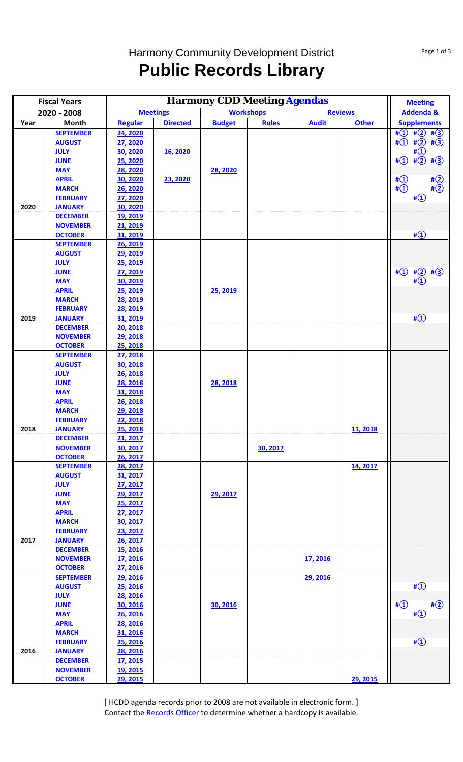## Harmony Community Development District **Public Records Library**

| <b>Meetings</b><br>2020 - 2008<br>Month<br><b>Directed</b><br>Year<br><b>Regular</b><br><b>SEPTEMBER</b><br>24, 2020<br><b>AUGUST</b><br>27, 2020<br><b>JULY</b><br>30, 2020<br>16, 2020 | <b>Budget</b><br>28, 2020 | <b>Workshops</b><br><b>Rules</b> | <b>Audit</b> | <b>Reviews</b><br><b>Other</b> | <b>Addenda &amp;</b><br><b>Supplements</b><br># $(1)$ # $(2)$ # $(3)$<br>$\#(1)$ $\#(2)$ $\#(3)$ |
|------------------------------------------------------------------------------------------------------------------------------------------------------------------------------------------|---------------------------|----------------------------------|--------------|--------------------------------|--------------------------------------------------------------------------------------------------|
|                                                                                                                                                                                          |                           |                                  |              |                                |                                                                                                  |
|                                                                                                                                                                                          |                           |                                  |              |                                |                                                                                                  |
|                                                                                                                                                                                          |                           |                                  |              |                                |                                                                                                  |
|                                                                                                                                                                                          |                           |                                  |              |                                |                                                                                                  |
|                                                                                                                                                                                          |                           |                                  |              |                                | $\sharp$ <sup>(1)</sup>                                                                          |
| 25, 2020<br><b>JUNE</b>                                                                                                                                                                  |                           |                                  |              |                                | $\sharp$ ①<br>$\#(2)$ #(3)                                                                       |
| 28, 2020<br><b>MAY</b>                                                                                                                                                                   |                           |                                  |              |                                |                                                                                                  |
| <b>APRIL</b><br>30, 2020<br>23, 2020<br><b>MARCH</b>                                                                                                                                     |                           |                                  |              |                                | # $\Omega$<br>$\sharp$ <sup>2</sup><br>$\sharp\overline{1}$<br>$\sharp$ <sup>2</sup>             |
| 26, 2020<br><b>FEBRUARY</b><br>27, 2020                                                                                                                                                  |                           |                                  |              |                                | $\sharp$ <sup>(1)</sup>                                                                          |
| 2020<br><b>JANUARY</b><br>30, 2020                                                                                                                                                       |                           |                                  |              |                                |                                                                                                  |
| <b>DECEMBER</b><br>19, 2019                                                                                                                                                              |                           |                                  |              |                                |                                                                                                  |
| <b>NOVEMBER</b><br>21, 2019                                                                                                                                                              |                           |                                  |              |                                |                                                                                                  |
| <b>OCTOBER</b><br>31, 2019                                                                                                                                                               |                           |                                  |              |                                | $\sharp$ ①                                                                                       |
| <b>SEPTEMBER</b><br>26, 2019                                                                                                                                                             |                           |                                  |              |                                |                                                                                                  |
| 29, 2019<br><b>AUGUST</b>                                                                                                                                                                |                           |                                  |              |                                |                                                                                                  |
| <b>JULY</b><br>25, 2019                                                                                                                                                                  |                           |                                  |              |                                |                                                                                                  |
| 27, 2019<br><b>JUNE</b>                                                                                                                                                                  |                           |                                  |              |                                | # $\textcircled{1}$<br>$\sharp(2)$<br>$\sharp$ <sup>3</sup>                                      |
| 30, 2019<br><b>MAY</b>                                                                                                                                                                   |                           |                                  |              |                                |                                                                                                  |
| <b>APRIL</b><br>25, 2019                                                                                                                                                                 | 25, 2019                  |                                  |              |                                |                                                                                                  |
| 28, 2019<br><b>MARCH</b>                                                                                                                                                                 |                           |                                  |              |                                |                                                                                                  |
| <b>FEBRUARY</b><br>28, 2019                                                                                                                                                              |                           |                                  |              |                                |                                                                                                  |
| 2019<br>31, 2019<br><b>JANUARY</b>                                                                                                                                                       |                           |                                  |              |                                | $\sharp$ <sup>(1)</sup>                                                                          |
| 20, 2018<br><b>DECEMBER</b>                                                                                                                                                              |                           |                                  |              |                                |                                                                                                  |
| 29, 2018<br><b>NOVEMBER</b><br>25, 2018                                                                                                                                                  |                           |                                  |              |                                |                                                                                                  |
| <b>OCTOBER</b><br>27, 2018<br><b>SEPTEMBER</b>                                                                                                                                           |                           |                                  |              |                                |                                                                                                  |
| 30, 2018<br><b>AUGUST</b>                                                                                                                                                                |                           |                                  |              |                                |                                                                                                  |
| <b>JULY</b><br>26, 2018                                                                                                                                                                  |                           |                                  |              |                                |                                                                                                  |
| <b>JUNE</b><br>28, 2018                                                                                                                                                                  | 28, 2018                  |                                  |              |                                |                                                                                                  |
| <b>MAY</b><br>31, 2018                                                                                                                                                                   |                           |                                  |              |                                |                                                                                                  |
| <b>APRIL</b><br>26, 2018                                                                                                                                                                 |                           |                                  |              |                                |                                                                                                  |
| <b>MARCH</b><br>29, 2018                                                                                                                                                                 |                           |                                  |              |                                |                                                                                                  |
| <b>FEBRUARY</b><br>22, 2018                                                                                                                                                              |                           |                                  |              |                                |                                                                                                  |
| 2018<br><b>JANUARY</b><br><b>25, 2018</b>                                                                                                                                                |                           |                                  |              | 11, 2018                       |                                                                                                  |
| <b>DECEMBER</b><br>21, 2017                                                                                                                                                              |                           |                                  |              |                                |                                                                                                  |
| <b>NOVEMBER</b><br>30, 2017                                                                                                                                                              |                           | 30, 2017                         |              |                                |                                                                                                  |
| <b>OCTOBER</b><br>26, 2017                                                                                                                                                               |                           |                                  |              |                                |                                                                                                  |
| <b>SEPTEMBER</b><br>28, 2017                                                                                                                                                             |                           |                                  |              | 14, 2017                       |                                                                                                  |
| <b>AUGUST</b><br>31, 2017                                                                                                                                                                |                           |                                  |              |                                |                                                                                                  |
| <b>JULY</b><br>27, 2017                                                                                                                                                                  |                           |                                  |              |                                |                                                                                                  |
| <b>JUNE</b><br>29, 2017<br><b>MAY</b>                                                                                                                                                    | 29, 2017                  |                                  |              |                                |                                                                                                  |
| 25, 2017<br><b>APRIL</b><br>27, 2017                                                                                                                                                     |                           |                                  |              |                                |                                                                                                  |
| <b>MARCH</b><br>30, 2017                                                                                                                                                                 |                           |                                  |              |                                |                                                                                                  |
| <b>FEBRUARY</b><br>23, 2017                                                                                                                                                              |                           |                                  |              |                                |                                                                                                  |
| 2017<br>26, 2017<br><b>JANUARY</b>                                                                                                                                                       |                           |                                  |              |                                |                                                                                                  |
| <b>DECEMBER</b><br><b>15, 2016</b>                                                                                                                                                       |                           |                                  |              |                                |                                                                                                  |
| <b>NOVEMBER</b><br>17, 2016                                                                                                                                                              |                           |                                  | 17, 2016     |                                |                                                                                                  |
| <b>OCTOBER</b><br>27, 2016                                                                                                                                                               |                           |                                  |              |                                |                                                                                                  |
| <b>SEPTEMBER</b><br>29, 2016                                                                                                                                                             |                           |                                  | 29, 2016     |                                |                                                                                                  |
| <b>AUGUST</b><br>25, 2016                                                                                                                                                                |                           |                                  |              |                                | # $\bigcirc$                                                                                     |
| <b>JULY</b><br>28, 2016                                                                                                                                                                  |                           |                                  |              |                                |                                                                                                  |
| <b>JUNE</b><br>30, 2016                                                                                                                                                                  | 30, 2016                  |                                  |              |                                | $\sharp$ <sup>①</sup><br>$\sharp$ <sup>2</sup>                                                   |
| <b>MAY</b><br>26, 2016                                                                                                                                                                   |                           |                                  |              |                                | $\sharp$ <sup>①</sup>                                                                            |
| <b>APRIL</b><br>28, 2016                                                                                                                                                                 |                           |                                  |              |                                |                                                                                                  |
| <b>MARCH</b><br>31, 2016                                                                                                                                                                 |                           |                                  |              |                                |                                                                                                  |
| <b>FEBRUARY</b><br>25, 2016<br>2016<br><b>JANUARY</b><br>28, 2016                                                                                                                        |                           |                                  |              |                                | # $\bigcirc$                                                                                     |
| <b>DECEMBER</b><br><u>17, 2015</u>                                                                                                                                                       |                           |                                  |              |                                |                                                                                                  |
| <b>NOVEMBER</b><br><u>19, 2015</u>                                                                                                                                                       |                           |                                  |              |                                |                                                                                                  |
| <b>OCTOBER</b><br>29, 2015                                                                                                                                                               |                           |                                  |              | 29, 2015                       |                                                                                                  |

[ HCDD agenda records prior to 2008 are not available in electronic form. ] Contact the Records Officer to determine whether a hardcopy is available.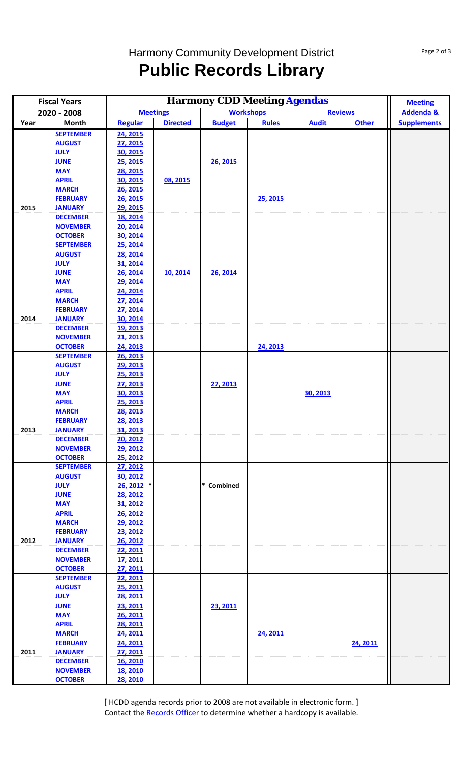## Harmony Community Development District **Public Records Library**

|             | <b>Fiscal Years</b>                |                                                       | <b>Meeting</b>  |                  |              |                |              |                      |
|-------------|------------------------------------|-------------------------------------------------------|-----------------|------------------|--------------|----------------|--------------|----------------------|
| 2020 - 2008 |                                    | <b>Harmony CDD Meeting Agendas</b><br><b>Meetings</b> |                 | <b>Workshops</b> |              | <b>Reviews</b> |              | <b>Addenda &amp;</b> |
| Year        | Month                              | <b>Regular</b>                                        | <b>Directed</b> | <b>Budget</b>    | <b>Rules</b> | <b>Audit</b>   | <b>Other</b> | <b>Supplements</b>   |
|             | <b>SEPTEMBER</b>                   | 24, 2015                                              |                 |                  |              |                |              |                      |
|             | <b>AUGUST</b>                      | 27, 2015                                              |                 |                  |              |                |              |                      |
|             | <b>JULY</b>                        | 30, 2015                                              |                 |                  |              |                |              |                      |
|             | <b>JUNE</b>                        | 25, 2015                                              |                 | 26, 2015         |              |                |              |                      |
|             | <b>MAY</b>                         | 28, 2015                                              |                 |                  |              |                |              |                      |
|             | <b>APRIL</b>                       | 30, 2015                                              | 08, 2015        |                  |              |                |              |                      |
|             | <b>MARCH</b>                       | 26, 2015                                              |                 |                  |              |                |              |                      |
| 2015        | <b>FEBRUARY</b>                    | 26, 2015<br>29, 2015                                  |                 |                  | 25, 2015     |                |              |                      |
|             | <b>JANUARY</b><br><b>DECEMBER</b>  | 18, 2014                                              |                 |                  |              |                |              |                      |
|             | <b>NOVEMBER</b>                    | 20, 2014                                              |                 |                  |              |                |              |                      |
|             | <b>OCTOBER</b>                     | 30, 2014                                              |                 |                  |              |                |              |                      |
|             | <b>SEPTEMBER</b>                   | 25, 2014                                              |                 |                  |              |                |              |                      |
|             | <b>AUGUST</b>                      | 28, 2014                                              |                 |                  |              |                |              |                      |
|             | <b>JULY</b>                        | 31, 2014                                              |                 |                  |              |                |              |                      |
|             | <b>JUNE</b>                        | 26, 2014                                              | 10, 2014        | 26, 2014         |              |                |              |                      |
|             | <b>MAY</b>                         | 29, 2014                                              |                 |                  |              |                |              |                      |
|             | <b>APRIL</b>                       | 24, 2014                                              |                 |                  |              |                |              |                      |
|             | <b>MARCH</b>                       | 27, 2014                                              |                 |                  |              |                |              |                      |
|             | <b>FEBRUARY</b>                    | 27, 2014                                              |                 |                  |              |                |              |                      |
| 2014        | <b>JANUARY</b>                     | 30, 2014                                              |                 |                  |              |                |              |                      |
|             | <b>DECEMBER</b>                    | 19, 2013                                              |                 |                  |              |                |              |                      |
|             | <b>NOVEMBER</b>                    | 21, 2013                                              |                 |                  |              |                |              |                      |
|             | <b>OCTOBER</b><br><b>SEPTEMBER</b> | 24, 2013                                              |                 |                  | 24, 2013     |                |              |                      |
|             | <b>AUGUST</b>                      | 26, 2013<br>29, 2013                                  |                 |                  |              |                |              |                      |
|             | <b>JULY</b>                        | 25, 2013                                              |                 |                  |              |                |              |                      |
|             | <b>JUNE</b>                        | 27, 2013                                              |                 | 27, 2013         |              |                |              |                      |
|             | <b>MAY</b>                         | 30, 2013                                              |                 |                  |              | 30, 2013       |              |                      |
|             | <b>APRIL</b>                       | 25, 2013                                              |                 |                  |              |                |              |                      |
|             | <b>MARCH</b>                       | 28, 2013                                              |                 |                  |              |                |              |                      |
|             | <b>FEBRUARY</b>                    | 28, 2013                                              |                 |                  |              |                |              |                      |
| 2013        | <b>JANUARY</b>                     | 31, 2013                                              |                 |                  |              |                |              |                      |
|             | <b>DECEMBER</b>                    | 20, 2012                                              |                 |                  |              |                |              |                      |
|             | <b>NOVEMBER</b>                    | 29, 2012                                              |                 |                  |              |                |              |                      |
|             | <b>OCTOBER</b>                     | 25, 2012                                              |                 |                  |              |                |              |                      |
|             | <b>SEPTEMBER</b>                   | 27, 2012                                              |                 |                  |              |                |              |                      |
|             | <b>AUGUST</b>                      | 30, 2012                                              |                 |                  |              |                |              |                      |
|             | <b>JULY</b>                        | 26, 2012 *                                            |                 | * Combined       |              |                |              |                      |
|             | <b>JUNE</b>                        | <b>28, 2012</b>                                       |                 |                  |              |                |              |                      |
|             | <b>MAY</b><br><b>APRIL</b>         | 31, 2012<br>26, 2012                                  |                 |                  |              |                |              |                      |
|             | <b>MARCH</b>                       | 29, 2012                                              |                 |                  |              |                |              |                      |
|             | <b>FEBRUARY</b>                    | 23, 2012                                              |                 |                  |              |                |              |                      |
| 2012        | <b>JANUARY</b>                     | 26, 2012                                              |                 |                  |              |                |              |                      |
|             | <b>DECEMBER</b>                    | 22, 2011                                              |                 |                  |              |                |              |                      |
|             | <b>NOVEMBER</b>                    | <u>17, 2011</u>                                       |                 |                  |              |                |              |                      |
|             | <b>OCTOBER</b>                     | 27, 2011                                              |                 |                  |              |                |              |                      |
|             | <b>SEPTEMBER</b>                   | 22, 2011                                              |                 |                  |              |                |              |                      |
|             | <b>AUGUST</b>                      | 25, 2011                                              |                 |                  |              |                |              |                      |
|             | <b>JULY</b>                        | <b>28, 2011</b>                                       |                 |                  |              |                |              |                      |
|             | <b>JUNE</b>                        | 23, 2011                                              |                 | 23, 2011         |              |                |              |                      |
|             | <b>MAY</b>                         | 26, 2011                                              |                 |                  |              |                |              |                      |
|             | <b>APRIL</b>                       | 28, 2011                                              |                 |                  |              |                |              |                      |
|             | <b>MARCH</b>                       | 24, 2011                                              |                 |                  | 24, 2011     |                |              |                      |
|             | <b>FEBRUARY</b>                    | 24, 2011                                              |                 |                  |              |                | 24, 2011     |                      |
| 2011        | <b>JANUARY</b>                     | 27, 2011                                              |                 |                  |              |                |              |                      |
|             | <b>DECEMBER</b>                    | 16, 2010                                              |                 |                  |              |                |              |                      |
|             | <b>NOVEMBER</b><br><b>OCTOBER</b>  | 18, 2010<br>28, 2010                                  |                 |                  |              |                |              |                      |
|             |                                    |                                                       |                 |                  |              |                |              |                      |

[ HCDD agenda records prior to 2008 are not available in electronic form. ] Contact the Records Officer to determine whether a hardcopy is available.